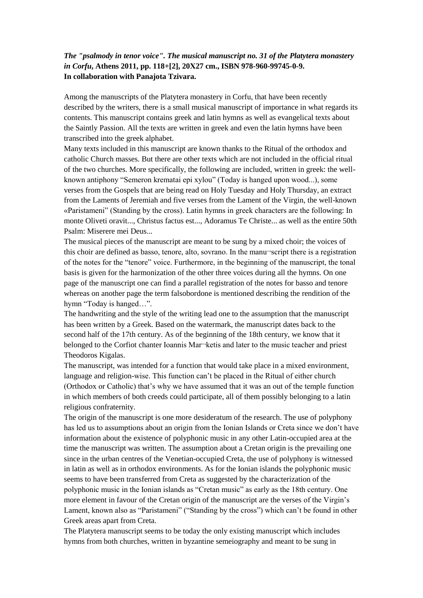## *The "psalmody in tenor voice". The musical manuscript no. 31 of the Platytera monastery in Corfu***, Athens 2011, pp. 118+[2], 20Χ27 cm., ISBN 978-960-99745-0-9. In collaboration with Panajota Tzivara.**

Among the manuscripts of the Platytera monastery in Corfu, that have been recently described by the writers, there is a small musical manuscript of importance in what regards its contents. This manuscript contains greek and latin hymns as well as evangelical texts about the Saintly Passion. All the texts are written in greek and even the latin hymns have been transcribed into the greek alphabet.

Many texts included in this manuscript are known thanks to the Ritual of the orthodox and catholic Church masses. But there are other texts which are not included in the official ritual of the two churches. More specifically, the following are included, written in greek: the wellknown antiphony "Semeron krematai epi xylou" (Today is hanged upon wood...), some verses from the Gospels that are being read on Holy Tuesday and Holy Thursday, an extract from the Laments of Jeremiah and five verses from the Lament of the Virgin, the well-known «Paristameni" (Standing by the cross). Latin hymns in greek characters are the following: In monte Oliveti oravit..., Christus factus est..., Adoramus Te Christe... as well as the entire 50th Psalm: Miserere mei Deus...

The musical pieces of the manuscript are meant to be sung by a mixed choir; the voices of this choir are defined as basso, tenore, alto, sovrano. In the manu¬script there is a registration of the notes for the "tenore" voice. Furthermore, in the beginning of the manuscript, the tonal basis is given for the harmonization of the other three voices during all the hymns. On one page of the manuscript one can find a parallel registration of the notes for basso and tenore whereas on another page the term falsobordone is mentioned describing the rendition of the hymn "Today is hanged…".

The handwriting and the style of the writing lead one to the assumption that the manuscript has been written by a Greek. Based on the watermark, the manuscript dates back to the second half of the 17th century. As of the beginning of the 18th century, we know that it belonged to the Corfiot chanter Ioannis Mar¬ketis and later to the music teacher and priest Theodoros Kigalas.

The manuscript, was intended for a function that would take place in a mixed environment, language and religion-wise. This function can't be placed in the Ritual of either church (Orthodox or Catholic) that's why we have assumed that it was an out of the temple function in which members of both creeds could participate, all of them possibly belonging to a latin religious confraternity.

The origin of the manuscript is one more desideratum of the research. The use of polyphony has led us to assumptions about an origin from the Ionian Islands or Creta since we don't have information about the existence of polyphonic music in any other Latin-occupied area at the time the manuscript was written. The assumption about a Cretan origin is the prevailing one since in the urban centres of the Venetian-occupied Creta, the use of polyphony is witnessed in latin as well as in orthodox environments. As for the Ionian islands the polyphonic music seems to have been transferred from Creta as suggested by the characterization of the polyphonic music in the Ionian islands as "Cretan music" as early as the 18th century. One more element in favour of the Cretan origin of the manuscript are the verses of the Virgin's Lament, known also as "Paristameni" ("Standing by the cross") which can't be found in other Greek areas apart from Creta.

The Platytera manuscript seems to be today the only existing manuscript which includes hymns from both churches, written in byzantine semeiography and meant to be sung in